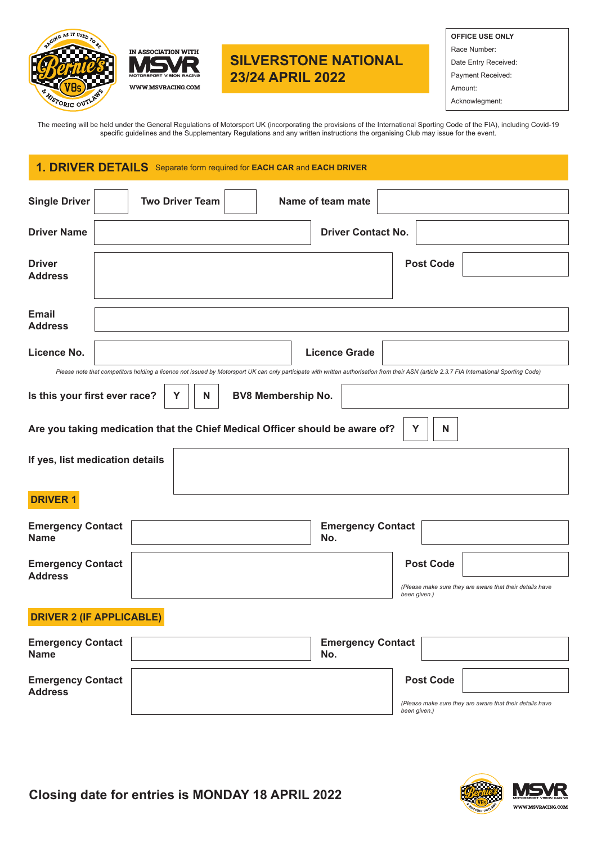



## **SILVERSTONE NATIONAL 23/24 APRIL 2022**

| <b>OFFICE USE ONLY</b> |
|------------------------|
| Race Number:           |

Date Entry Received:

Payment Received:

Amount:

Acknowlegment:

The meeting will be held under the General Regulations of Motorsport UK (incorporating the provisions of the International Sporting Code of the FIA), including Covid-19 specific guidelines and the Supplementary Regulations and any written instructions the organising Club may issue for the event.

## **1. DRIVER DETAILS** Separate form required for **EACH CAR** and **EACH DRIVER**

| <b>Single Driver</b>                                                                   | <b>Two Driver Team</b> | Name of team mate               |                                                                                                                                                                                           |  |  |  |
|----------------------------------------------------------------------------------------|------------------------|---------------------------------|-------------------------------------------------------------------------------------------------------------------------------------------------------------------------------------------|--|--|--|
| <b>Driver Name</b>                                                                     |                        | <b>Driver Contact No.</b>       |                                                                                                                                                                                           |  |  |  |
| <b>Driver</b><br><b>Address</b>                                                        |                        |                                 | <b>Post Code</b>                                                                                                                                                                          |  |  |  |
| <b>Email</b><br><b>Address</b>                                                         |                        |                                 |                                                                                                                                                                                           |  |  |  |
| Licence No.                                                                            |                        | <b>Licence Grade</b>            |                                                                                                                                                                                           |  |  |  |
|                                                                                        |                        |                                 | Please note that competitors holding a licence not issued by Motorsport UK can only participate with written authorisation from their ASN (article 2.3.7 FIA International Sporting Code) |  |  |  |
| Is this your first ever race?<br>Y<br><b>BV8 Membership No.</b><br>N                   |                        |                                 |                                                                                                                                                                                           |  |  |  |
| Are you taking medication that the Chief Medical Officer should be aware of?<br>Y<br>N |                        |                                 |                                                                                                                                                                                           |  |  |  |
| If yes, list medication details                                                        |                        |                                 |                                                                                                                                                                                           |  |  |  |
| <b>DRIVER 1</b>                                                                        |                        |                                 |                                                                                                                                                                                           |  |  |  |
| <b>Emergency Contact</b><br><b>Name</b>                                                |                        | <b>Emergency Contact</b><br>No. |                                                                                                                                                                                           |  |  |  |
| <b>Emergency Contact</b><br><b>Address</b>                                             |                        |                                 | <b>Post Code</b>                                                                                                                                                                          |  |  |  |
|                                                                                        |                        |                                 | (Please make sure they are aware that their details have<br>been given.)                                                                                                                  |  |  |  |
| <b>DRIVER 2 (IF APPLICABLE)</b>                                                        |                        |                                 |                                                                                                                                                                                           |  |  |  |
| <b>Emergency Contact</b><br><b>Name</b>                                                |                        | <b>Emergency Contact</b><br>No. |                                                                                                                                                                                           |  |  |  |
| <b>Emergency Contact</b><br><b>Address</b>                                             |                        |                                 | <b>Post Code</b>                                                                                                                                                                          |  |  |  |
|                                                                                        |                        |                                 | (Please make sure they are aware that their details have<br>been given.)                                                                                                                  |  |  |  |